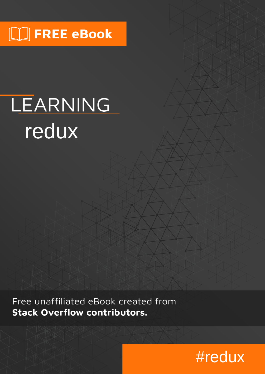# $\Box$  FREE eBook

# LEARNING redux

Free unaffiliated eBook created from **Stack Overflow contributors.** 

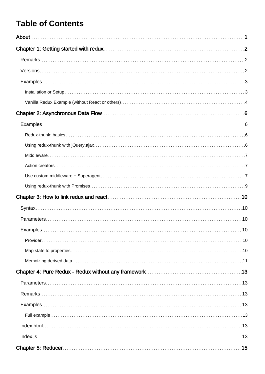# **Table of Contents**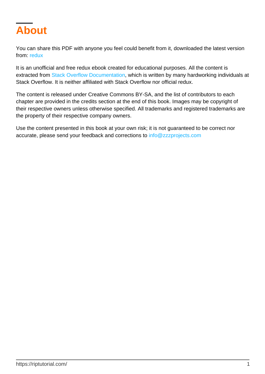<span id="page-3-0"></span>

You can share this PDF with anyone you feel could benefit from it, downloaded the latest version from: [redux](http://riptutorial.com/ebook/redux)

It is an unofficial and free redux ebook created for educational purposes. All the content is extracted from [Stack Overflow Documentation,](https://archive.org/details/documentation-dump.7z) which is written by many hardworking individuals at Stack Overflow. It is neither affiliated with Stack Overflow nor official redux.

The content is released under Creative Commons BY-SA, and the list of contributors to each chapter are provided in the credits section at the end of this book. Images may be copyright of their respective owners unless otherwise specified. All trademarks and registered trademarks are the property of their respective company owners.

Use the content presented in this book at your own risk; it is not guaranteed to be correct nor accurate, please send your feedback and corrections to [info@zzzprojects.com](mailto:info@zzzprojects.com)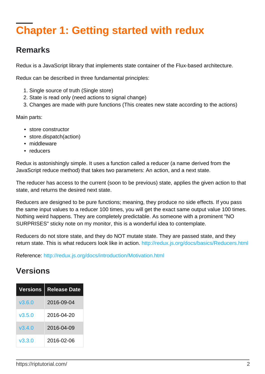# <span id="page-4-0"></span>**Chapter 1: Getting started with redux**

### <span id="page-4-1"></span>**Remarks**

Redux is a JavaScript library that implements state container of the Flux-based architecture.

Redux can be described in three fundamental principles:

- 1. Single source of truth (Single store)
- 2. State is read only (need actions to signal change)
- 3. Changes are made with pure functions (This creates new state according to the actions)

Main parts:

- store constructor
- store.dispatch(action)
- middleware
- reducers

Redux is astonishingly simple. It uses a function called a reducer (a name derived from the JavaScript reduce method) that takes two parameters: An action, and a next state.

The reducer has access to the current (soon to be previous) state, applies the given action to that state, and returns the desired next state.

Reducers are designed to be pure functions; meaning, they produce no side effects. If you pass the same input values to a reducer 100 times, you will get the exact same output value 100 times. Nothing weird happens. They are completely predictable. As someone with a prominent "NO SURPRISES" sticky note on my monitor, this is a wonderful idea to contemplate.

Reducers do not store state, and they do NOT mutate state. They are passed state, and they return state. This is what reducers look like in action.<http://redux.js.org/docs/basics/Reducers.html>

<span id="page-4-2"></span>Reference:<http://redux.js.org/docs/introduction/Motivation.html>

### **Versions**

| Versions | <b>Release Date</b> |
|----------|---------------------|
| V3.6.0   | 2016-09-04          |
| V3.5.0   | 2016-04-20          |
| V3.4.0   | 2016-04-09          |
| V3.3.0   | 2016-02-06          |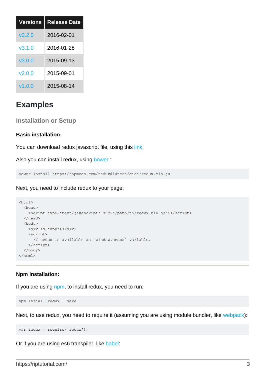| <b>Versions</b> | <b>Release Date</b> |
|-----------------|---------------------|
| v3.2.0          | 2016-02-01          |
| v310            | 2016-01-28          |
| v3.0.0          | 2015-09-13          |
| V2.0.0          | 2015-09-01          |
| V1.0.0          | 2015-08-14          |

### <span id="page-5-0"></span>**Examples**

<span id="page-5-1"></span>**Installation or Setup**

#### **Basic installation:**

You can download redux javascript file, using this [link](https://npmcdn.com/redux@latest/dist/redux.min.js).

Also you can install redux, using [bower](http://bower.io):

bower install https://npmcdn.com/redux@latest/dist/redux.min.js

Next, you need to include redux to your page:

```
<html>
   <head>
    <script type="text/javascript" src="/path/to/redux.min.js"></script>
   </head>
   <body>
     <div id="app"></div>
     <script>
      // Redux is available as `window.Redux` variable.
     </script>
   </body>
</html>
```
#### **Npm installation:**

If you are using [npm,](https://www.npmjs.com/) to install redux, you need to run:

npm install redux --save

Next, to use redux, you need to require it (assuming you are using module bundler, like [webpack](http://webpack.github.io)):

```
var redux = require('redux');
```
Or if you are using es6 transpiler, like [babel:](http://babeljs.io)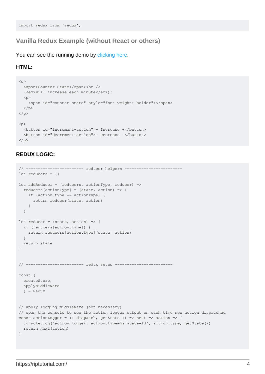#### <span id="page-6-0"></span>**Vanilla Redux Example (without React or others)**

You can see the running demo by [clicking here](https://jsfiddle.net/inancgumus/e3067seu/).

#### **HTML:**

```
<p>
   <span>Counter State</span><br />
   (<em>Will increase each minute</em>):
  <br><p> <span id="counter-state" style="font-weight: bolder"></span>
  \langle/p>
\rm{<} /p> \rm{>}<p>
   <button id="increment-action">+ Increase +</button>
   <button id="decrement-action">- Decrease -</button>
\langle/p>
```
#### **REDUX LOGIC:**

```
// ------------------------- reducer helpers -----
let reducers = {}
let addReducer = (reducers, actionType, reducer) =>
  reducers[actionType] = (state, action) => {
    if (action.type == actionType) {
      return reducer(state, action)
     }
   }
let reducer = (state, action) => {
   if (reducers[action.type]) {
    return reducers[action.type](state, action)
  }
  return state
}
// ------------------------ redux setup ------------------------
const {
  createStore,
  applyMiddleware
  } = Redux
// apply logging middleware (not necessary)
// open the console to see the action logger output on each time new action dispatched
const actionLogger = ({ dispatch, getState }) => next => action => {
 console.log("action logger: action.type=%s state=%d", action.type, getState())
   return next(action)
}
```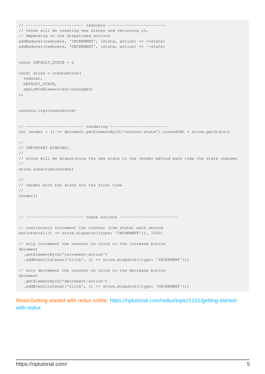```
// ------------------------ reducers ------------------------
// those will be creating new states and returning it,
// depending on the dispatched actions
addReducer(reducers, 'INCREMENT', (state, action) => ++state)
addReducer(reducers, 'DECREMENT', (state, action) => --state)
const DEFAULT_STATE = 0
const store = createStore(
  reducer,
  DEFAULT_STATE,
  applyMiddleware(actionLogger)
);
console.log(createStore)
// ------------------------ rendering ------------------------
let render = () => document.getElementById('counter-state').innerHTML = store.getState()
//
// IMPORTANT BINDING:
//
// store will be dispatching the new state to the render method each time the state changes
//
store.subscribe(render)
//
// render with the state for the first time
//
render()
// ------------------------ redux actions ------------------------
// continously increment the counter (the state) each second
setInterval(() => store.dispatch({type: 'INCREMENT'}), 1000)
// only increment the counter on click to the increase button
document
   .getElementById('increment-action')
  .addEventListener('click', () => store.dispatch({type: 'INCREMENT'}))
// only decrement the counter on click to the decrease button
document
   .getElementById('decrement-action')
   .addEventListener('click', () => store.dispatch({type: 'DECREMENT'}))
```
Read Getting started with redux online: [https://riptutorial.com/redux/topic/1101/getting-started](https://riptutorial.com/redux/topic/1101/getting-started-with-redux)[with-redux](https://riptutorial.com/redux/topic/1101/getting-started-with-redux)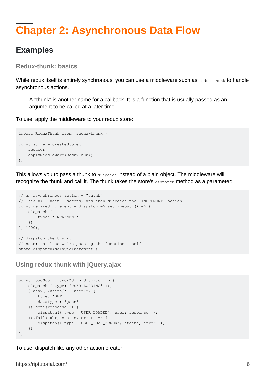# <span id="page-8-0"></span>**Chapter 2: Asynchronous Data Flow**

### <span id="page-8-1"></span>**Examples**

<span id="page-8-2"></span>**Redux-thunk: basics**

While redux itself is entirely synchronous, you can use a middleware such as redux-thunk to handle asynchronous actions.

A "thunk" is another name for a callback. It is a function that is usually passed as an argument to be called at a later time.

To use, apply the middleware to your redux store:

```
import ReduxThunk from 'redux-thunk';
const store = createStore(
    reducer,
    applyMiddleware(ReduxThunk)
);
```
This allows you to pass a thunk to dispatch instead of a plain object. The middleware will recognize the thunk and call it. The thunk takes the store's dispatch method as a parameter:

```
// an asynchronous action - "thunk"
// This will wait 1 second, and then dispatch the 'INCREMENT' action
const delayedIncrement = dispatch => setTimeout(() => {
     dispatch({
         type: 'INCREMENT'
    });
}, 1000);
// dispatch the thunk.
// note: no () as we're passing the function itself
store.dispatch(delayedIncrement);
```
<span id="page-8-3"></span>**Using redux-thunk with jQuery.ajax**

```
const loadUser = userId => dispatch => {
   dispatch({ type: 'USER_LOADING' });
     $.ajax('/users/' + userId, {
         type: 'GET',
        dataType : 'json'
     }).done(response => {
        dispatch({ type: 'USER_LOADED', user: response });
    }).fail((xhr, status, error) => {
        dispatch({ type: 'USER_LOAD_ERROR', status, error });
     });
};
```
To use, dispatch like any other action creator: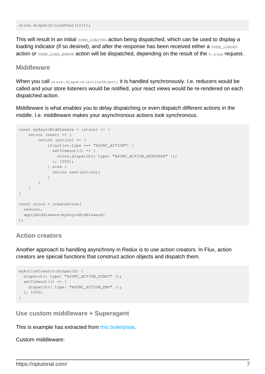store.dispatch(loadUser(123));

This will result in an initial USER\_LOADING action being dispatched, which can be used to display a loading indicator (if so desired), and after the response has been received either a USER LOADED action or USER\_LOAD\_ERROR action will be dispatched, depending on the result of the \$.ajax request.

#### <span id="page-9-0"></span>**Middleware**

When you call store.dispatch(actionObject) it is handled synchronously. I.e. reducers would be called and your store listeners would be notified, your react views would be re-rendered on each dispatched action.

Middleware is what enables you to delay dispatching or even dispatch different actions in the middle. I.e. middleware makes your asynchronous actions look synchronous.

```
const myAsyncMiddleware = (store) => {
    return (next) => {
        return (action) => {
           if(action.type === "ASYNC_ACTION") {
             setTimeout(() => {
               store.dispatch({ type: "ASYNC_ACTION_RESPONSE" });
              }, 1000);
             } else {
              return next(action);
 }
        }
     }
}
const store = createStore(
  reducer,
  applyMiddleware(myAsyncMiddleware)
);
```
#### <span id="page-9-1"></span>**Action creators**

Another approach to handling asynchrony in Redux is to use action creators. In Flux, action creators are special functions that construct action objects and dispatch them.

```
myActionCreator(dispatch) {
  dispatch({ type: "ASYNC_ACTION_START" });
 setTimeout(() => {
    dispatch({ type: "ASYNC_ACTION_END" });
   }, 1000)
}
```
<span id="page-9-2"></span>**Use custom middleware + Superagent**

This is example has extracted from [this boilerplate.](https://github.com/erikras/react-redux-universal-hot-example)

Custom middleware: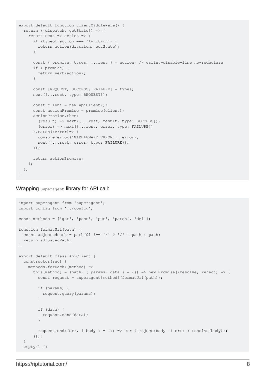```
export default function clientMiddleware() {
   return ({dispatch, getState}) => {
   return next => action => {
      if (typeof action === 'function') {
         return action(dispatch, getState);
       }
       const { promise, types, ...rest } = action; // eslint-disable-line no-redeclare
       if (!promise) {
         return next(action);
       }
       const [REQUEST, SUCCESS, FAILURE] = types;
       next({...rest, type: REQUEST});
     const client = new ApiClient();
     const actionPromise = promise(client);
       actionPromise.then(
         (result) => next({...rest, result, type: SUCCESS}),
         (error) => next({...rest, error, type: FAILURE})
      ).catch((error) => {
         console.error('MIDDLEWARE ERROR:', error);
         next({...rest, error, type: FAILURE});
       });
       return actionPromise;
    };
   };
}
```
Wrapping Superagent library for API call:

```
import superagent from 'superagent';
import config from '../config';
const methods = ['get', 'post', 'put', 'patch', 'del'];
function formatUrl(path) {
 const adjustedPath = path[0] !== '/' ? '/' + path : path;
   return adjustedPath;
}
export default class ApiClient {
   constructor(req) {
     methods.forEach((method) =>
      this[method] = (path, {theta = {}) => new Promise((resolve, reject) => {
        const request = superagent [method] (formatUrl(path));
         if (params) {
           request.query(params);
         }
         if (data) {
          request.send(data);
         }
        request.end((err, { body } = {}) => err ? reject(body || err) : resolve(body));
       }));
   }
   empty() {}
```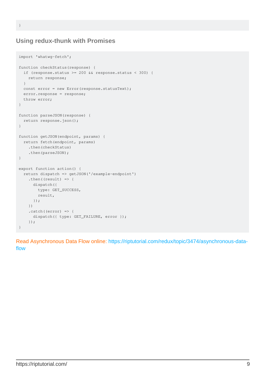}

#### <span id="page-11-0"></span>**Using redux-thunk with Promises**

```
import 'whatwg-fetch';
function checkStatus(response) {
  if (response.status >= 200 && response.status < 300) {
    return response;
   }
 const error = new Error(response.statusText);
   error.response = response;
   throw error;
}
function parseJSON(response) {
   return response.json();
}
function getJSON(endpoint, params) {
  return fetch(endpoint, params)
     .then(checkStatus)
    .then(parseJSON);
}
export function action() {
   return dispatch => getJSON('/example-endpoint')
    .then((result) \Rightarrow {
      dispatch({
        type: GET_SUCCESS,
         result,
      });
     })
    . \text{catch}((\text{error}) \Rightarrowdispatch({ type: GET_FAILURE, error });
     });
}
```
Read Asynchronous Data Flow online: [https://riptutorial.com/redux/topic/3474/asynchronous-data](https://riptutorial.com/redux/topic/3474/asynchronous-data-flow)[flow](https://riptutorial.com/redux/topic/3474/asynchronous-data-flow)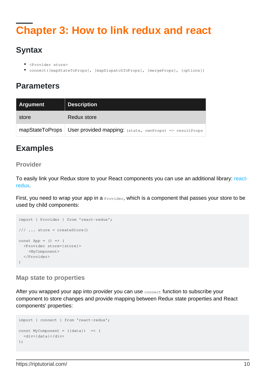# <span id="page-12-0"></span>**Chapter 3: How to link redux and react**

# <span id="page-12-1"></span>**Syntax**

- <Provider store>
- connect([mapStateToProps], [mapDispatchToProps], [mergeProps], [options])

# <span id="page-12-2"></span>**Parameters**

| <b>Argument</b> | <b>Description</b>                                      |
|-----------------|---------------------------------------------------------|
| store           | Redux store                                             |
| mapStateToProps | User provided mapping: (state, ownProps) => resultProps |

# <span id="page-12-3"></span>**Examples**

#### <span id="page-12-4"></span>**Provider**

To easily link your Redux store to your React components you can use an additional library: [react](https://github.com/reactjs/react-redux)[redux](https://github.com/reactjs/react-redux).

First, you need to wrap your app in a  $P_{\text{rovidence}}$ , which is a component that passes your store to be used by child components:

```
import { Provider } from 'react-redux';
/// ... store = createStore()
const App = () \Rightarrow ( <Provider store={store}>
    <MyComponent>
   </Provider>
)
```
#### <span id="page-12-5"></span>**Map state to properties**

After you wrapped your app into provider you can use connect function to subscribe your component to store changes and provide mapping between Redux state properties and React components' properties:

```
import { connect } from 'react-redux';
const MyComponent = ({data}) => (
   <div>{data}</div>
);
```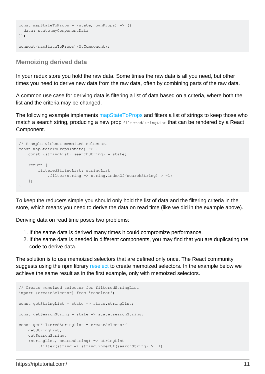```
const mapStateToProps = (state, ownProps) => ({
  data: state.myComponentData
});
connect(mapStateToProps)(MyComponent);
```
#### <span id="page-13-0"></span>**Memoizing derived data**

In your redux store you hold the raw data. Some times the raw data is all you need, but other times you need to derive new data from the raw data, often by combining parts of the raw data.

A common use case for deriving data is filtering a list of data based on a criteria, where both the list and the criteria may be changed.

The following example implements [mapStateToProps](http://www.riptutorial.com/redux/example/22579/map-state-to-properties) and filters a list of strings to keep those who match a search string, producing a new prop filteredStringList that can be rendered by a React Component.

```
// Example without memoized selectors
const mapStateToProps(state) => {
    const {stringList, searchString} = state;
    return {
       filteredStringList: stringList
          .filter(string => string.indexOf(searchString) > -1)
    };
}
```
To keep the reducers simple you should only hold the list of data and the filtering criteria in the store, which means you need to derive the data on read time (like we did in the example above).

Deriving data on read time poses two problems:

- 1. If the same data is derived many times it could compromize performance.
- 2. If the same data is needed in different components, you may find that you are duplicating the code to derive data.

The solution is to use memoized selectors that are defined only once. The React community suggests using the npm library [reselect](https://www.npmjs.com/package/reselect) to create memoized selectors. In the example below we achieve the same result as in the first example, only with memoized selectors.

```
// Create memoized selector for filteredStringList
import {createSelector} from 'reselect';
const getStringList = state => state.stringList;
const getSearchString = state => state.searchString;
const getFilteredStringList = createSelector(
    getStringList,
    getSearchString,
     (stringList, searchString) => stringList
        .filter(string => string.indexOf(searchString) > -1)
```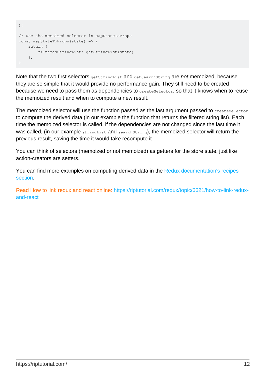```
);
// Use the memoized selector in mapStateToProps
const mapStateToProps(state) => {
    return {
        filteredStringList: getStringList(state)
     };
}
```
Note that the two first selectors get StringList and getSearchString are not memoized, because they are so simple that it would provide no performance gain. They still need to be created because we need to pass them as dependencies to createSelector, so that it knows when to reuse the memoized result and when to compute a new result.

The memoized selector will use the function passed as the last argument passed to  $\alpha$ reateSelector to compute the derived data (in our example the function that returns the filtered string list). Each time the memoized selector is called, if the dependencies are not changed since the last time it was called, (in our example stringList and searchString), the memoized selector will return the previous result, saving the time it would take recompute it.

You can think of selectors (memoized or not memoized) as getters for the store state, just like action-creators are setters.

You can find more examples on computing derived data in the [Redux documentation's recipes](http://redux.js.org/docs/recipes/ComputingDerivedData.html#computing-derived-data) [section](http://redux.js.org/docs/recipes/ComputingDerivedData.html#computing-derived-data).

Read How to link redux and react online: [https://riptutorial.com/redux/topic/6621/how-to-link-redux](https://riptutorial.com/redux/topic/6621/how-to-link-redux-and-react)[and-react](https://riptutorial.com/redux/topic/6621/how-to-link-redux-and-react)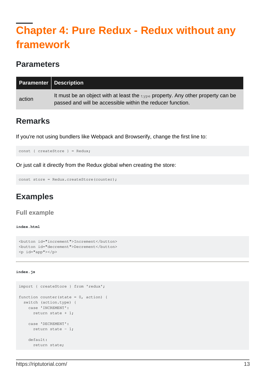# <span id="page-15-0"></span>**Chapter 4: Pure Redux - Redux without any framework**

### <span id="page-15-1"></span>**Parameters**

| <b>Paramenter   Description</b> |                                                                                                                                                           |
|---------------------------------|-----------------------------------------------------------------------------------------------------------------------------------------------------------|
| action                          | It must be an object with at least the $_{\text{type}}$ property. Any other property can be<br>passed and will be accessible within the reducer function. |

### <span id="page-15-2"></span>**Remarks**

If you're not using bundlers like Webpack and Browserify, change the first line to:

const { createStore } = Redux;

Or just call it directly from the Redux global when creating the store:

```
const store = Redux.createStore(counter);
```
# **Examples**

#### <span id="page-15-4"></span>**Full example**

#### <span id="page-15-5"></span>**index.html**

```
<button id="increment">Increment</button>
<button id="decrement">Decrement</button>
\langle p \text{ id} = "app" \rangle
```
#### <span id="page-15-6"></span>**index.js**

```
import { createStore } from 'redux';
function counter(state = 0, action) {
  switch (action.type) {
    case 'INCREMENT':
      return state + 1;
    case 'DECREMENT':
     return state - 1;
    default:
      return state;
```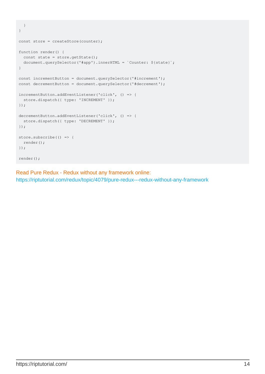```
 }
}
const store = createStore(counter);
function render() {
 const state = store.getState();
  document.querySelector('#app').innerHTML = `Counter: ${state}`;
}
const incrementButton = document.querySelector('#increment');
const decrementButton = document.querySelector('#decrement');
incrementButton.addEventListener('click', () => {
  store.dispatch({ type: 'INCREMENT' });
});
decrementButton.addEventListener('click', () => {
  store.dispatch({ type: 'DECREMENT' });
});
store.subscribe(() => {
  render();
});
render();
```
Read Pure Redux - Redux without any framework online: <https://riptutorial.com/redux/topic/4079/pure-redux---redux-without-any-framework>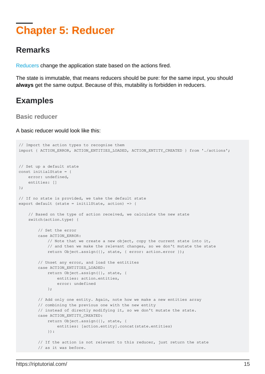# <span id="page-17-0"></span>**Chapter 5: Reducer**

### <span id="page-17-1"></span>**Remarks**

[Reducers](http://redux.js.org/docs/basics/Reducers.html) change the application state based on the actions fired.

The state is immutable, that means reducers should be pure: for the same input, you should **always** get the same output. Because of this, mutability is forbidden in reducers.

# <span id="page-17-2"></span>**Examples**

<span id="page-17-3"></span>**Basic reducer**

A basic reducer would look like this:

```
// Import the action types to recognise them
import { ACTION_ERROR, ACTION_ENTITIES_LOADED, ACTION_ENTITY_CREATED } from './actions';
// Set up a default state
const initialState = {
     error: undefined,
     entities: []
};
// If no state is provided, we take the default state
export default (state = initilState, action) => {
     // Based on the type of action received, we calculate the new state
     switch(action.type) {
         // Set the error
         case ACTION_ERROR:
            // Note that we create a new object, copy the current state into it,
             // and then we make the relevant changes, so we don't mutate the state
             return Object.assign({}, state, { error: action.error });
         // Unset any error, and load the entitites
         case ACTION_ENTITIES_LOADED:
             return Object.assign({}, state, {
                 entities: action.entities,
                 error: undefined
             };
         // Add only one entity. Again, note how we make a new entities array
         // combining the previous one with the new entity
         // instead of directly modifying it, so we don't mutate the state.
         case ACTION_ENTITY_CREATED:
             return Object.assign({}, state, {
                 entities: [action.entity].concat(state.entities)
             }):
        // If the action is not relevant to this reducer, just return the state
         // as it was before.
```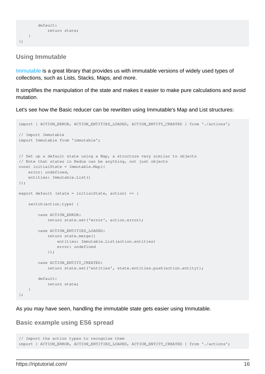```
 default:
             return state;
    }
};
```
#### <span id="page-18-0"></span>**Using Immutable**

[Immutable](https://facebook.github.io/immutable-js/) is a great library that provides us with immutable versions of widely used types of collections, such as Lists, Stacks, Maps, and more.

It simplifies the manipulation of the state and makes it easier to make pure calculations and avoid mutation.

Let's see how the Basic reducer can be rewritten using Immutable's Map and List structures:

```
import { ACTION_ERROR, ACTION_ENTITIES_LOADED, ACTION_ENTITY_CREATED } from './actions';
// Import Immutable
import Immutable from 'immutable';
// Set up a default state using a Map, a structure very similar to objects
// Note that states in Redux can be anything, not just objects
const initialState = Immutable.Map({
     error: undefined,
     entities: Immutable.List()
});
export default (state = initialState, action) => {
     switch(action.type) {
         case ACTION_ERROR:
            return state.set('error', action.error);
         case ACTION_ENTITIES_LOADED:
             return state.merge({
                 entities: Immutable.List(action.entities)
                 error: undefined
             });
         case ACTION_ENTITY_CREATED:
             return state.set('entities', state.entities.push(action.entity));
         default:
            return state;
     }
};
```
<span id="page-18-1"></span>As you may have seen, handling the immutable state gets easier using Immutable.

#### **Basic example using ES6 spread**

```
// Import the action types to recognize them
import { ACTION_ERROR, ACTION_ENTITIES_LOADED, ACTION_ENTITY_CREATED } from './actions';
```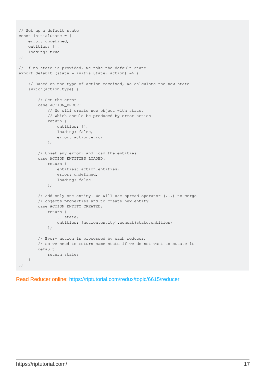```
// Set up a default state
const initialState = {
    error: undefined,
     entities: [],
     loading: true
};
// If no state is provided, we take the default state
export default (state = initialState, action) => {
     // Based on the type of action received, we calculate the new state
     switch(action.type) {
         // Set the error
         case ACTION_ERROR:
             // We will create new object with state,
             // which should be produced by error action
             return {
                 entities: [],
                 loading: false,
                 error: action.error
             };
         // Unset any error, and load the entities
         case ACTION_ENTITIES_LOADED:
             return {
                 entities: action.entities,
                 error: undefined,
                 loading: false
             };
         // Add only one entity. We will use spread operator (...) to merge
         // objects properties and to create new entity
         case ACTION_ENTITY_CREATED:
             return {
                 ...state,
                 entities: [action.entity].concat(state.entities)
             };
         // Every action is processed by each reducer,
         // so we need to return same state if we do not want to mutate it
         default:
             return state;
     }
};
```
Read Reducer online:<https://riptutorial.com/redux/topic/6615/reducer>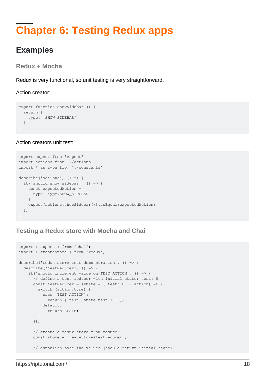# <span id="page-20-0"></span>**Chapter 6: Testing Redux apps**

### <span id="page-20-1"></span>**Examples**

<span id="page-20-2"></span>**Redux + Mocha**

Redux is very functional, so unit testing is very straightforward.

#### Action creator:

```
export function showSidebar () {
  return {
    type: 'SHOW_SIDEBAR'
   }
}
```
#### Action creators unit test:

```
import expect from 'expect'
import actions from './actions'
import * as type from './constants'
describe('actions', () => {
  it('should show sidebar', () => {
    const expectedAction = {
      type: type.SHOW_SIDEBAR
     }
    expect(actions.showSidebar()).toEqual(expectedAction)
   })
})
```
#### <span id="page-20-3"></span>**Testing a Redux store with Mocha and Chai**

```
import { expect } from 'chai';
import { createStore } from 'redux';
describe('redux store test demonstration', () => {
   describe('testReducer', () => {
     it('should increment value on TEST_ACTION', () => {
       // define a test reducer with initial state: test: 0
      const testReducer = (state = { test: 0 }, action) => {
        switch (action.type) {
          case 'TEST_ACTION':
            return { test: state.test + 1 };
          default:
            return state;
        }
       });
       // create a redux store from reducer
      const store = createStore(testReducer);
       // establish baseline values (should return initial state)
```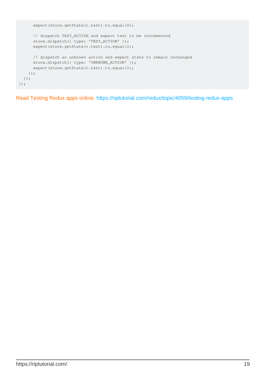```
 expect(store.getState().test).to.equal(0);
      // dispatch TEST_ACTION and expect test to be incremented
      store.dispatch({ type: 'TEST_ACTION' });
       expect(store.getState().test).to.equal(1);
       // dispatch an unknown action and expect state to remain unchanged
       store.dispatch({ type: 'UNKNOWN_ACTION' });
       expect(store.getState().test).to.equal(1);
     });
   });
});
```
Read Testing Redux apps online: <https://riptutorial.com/redux/topic/4059/testing-redux-apps>